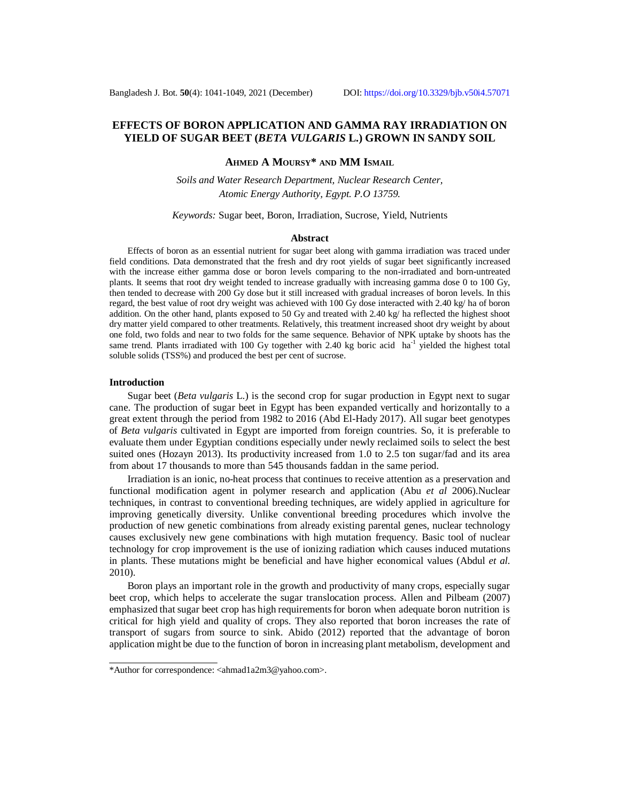# **EFFECTS OF BORON APPLICATION AND GAMMA RAY IRRADIATION ON YIELD OF SUGAR BEET (***BETA VULGARIS* **L.) GROWN IN SANDY SOIL**

# **AHMED A MOURSY\* AND MM ISMAIL**

*Soils and Water Research Department, Nuclear Research Center, Atomic Energy Authority, Egypt. P.O 13759.*

### *Keywords:* Sugar beet, Boron, Irradiation, Sucrose, Yield, Nutrients

### **Abstract**

Effects of boron as an essential nutrient for sugar beet along with gamma irradiation was traced under field conditions. Data demonstrated that the fresh and dry root yields of sugar beet significantly increased with the increase either gamma dose or boron levels comparing to the non-irradiated and born-untreated plants. It seems that root dry weight tended to increase gradually with increasing gamma dose 0 to 100 Gy, then tended to decrease with 200 Gy dose but it still increased with gradual increases of boron levels. In this regard, the best value of root dry weight was achieved with 100 Gy dose interacted with 2.40 kg/ ha of boron addition. On the other hand, plants exposed to 50 Gy and treated with 2.40 kg/ ha reflected the highest shoot dry matter yield compared to other treatments. Relatively, this treatment increased shoot dry weight by about one fold, two folds and near to two folds for the same sequence. Behavior of NPK uptake by shoots has the same trend. Plants irradiated with 100 Gy together with 2.40 kg boric acid  $ha^{-1}$  yielded the highest total soluble solids (TSS%) and produced the best per cent of sucrose.

### **Introduction**

Sugar beet (*Beta vulgaris* L.) is the second crop for sugar production in Egypt next to sugar cane. The production of sugar beet in Egypt has been expanded vertically and horizontally to a great extent through the period from 1982 to 2016 (Abd El-Hady 2017). All sugar beet genotypes of *Beta vulgaris* cultivated in Egypt are imported from foreign countries. So, it is preferable to evaluate them under Egyptian conditions especially under newly reclaimed soils to select the best suited ones (Hozayn 2013). Its productivity increased from 1.0 to 2.5 ton sugar/fad and its area from about 17 thousands to more than 545 thousands faddan in the same period.

Irradiation is an ionic, no-heat process that continues to receive attention as a preservation and functional modification agent in polymer research and application (Abu *et al* 2006).Nuclear techniques, in contrast to conventional breeding techniques, are widely applied in agriculture for improving genetically diversity. Unlike conventional breeding procedures which involve the production of new genetic combinations from already existing parental genes, nuclear technology causes exclusively new gene combinations with high mutation frequency. Basic tool of nuclear technology for crop improvement is the use of ionizing radiation which causes induced mutations in plants. These mutations might be beneficial and have higher economical values (Abdul *et al.* 2010).

Boron plays an important role in the growth and productivity of many crops, especially sugar beet crop, which helps to accelerate the sugar translocation process. Allen and Pilbeam (2007) emphasized that sugar beet crop has high requirements for boron when adequate boron nutrition is critical for high yield and quality of crops. They also reported that boron increases the rate of transport of sugars from source to sink. Abido (2012) reported that the advantage of boron application might be due to the function of boron in increasing plant metabolism, development and

<sup>\*</sup>Author for correspondence: [<ahmad1a2m3@yahoo.com>](mailto:ahmad1a2m3@yahoo.com).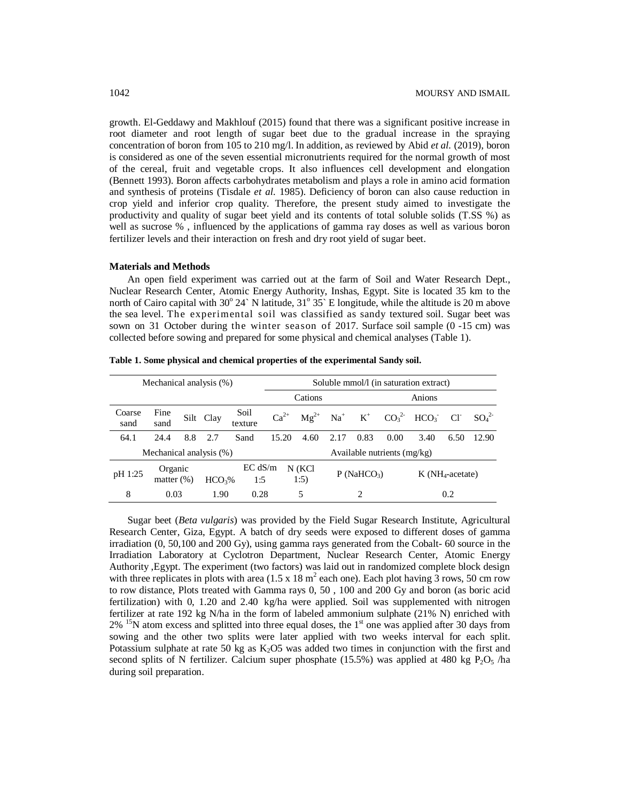growth. El-Geddawy and Makhlouf (2015) found that there was a significant positive increase in root diameter and root length of sugar beet due to the gradual increase in the spraying concentration of boron from 105 to 210 mg/l. In addition, as reviewed by Abid *et al.* (2019), boron is considered as one of the seven essential micronutrients required for the normal growth of most of the cereal, fruit and vegetable crops. It also influences cell development and elongation (Bennett 1993). Boron affects carbohydrates metabolism and plays a role in amino acid formation and synthesis of proteins (Tisdale *et al.* 1985). Deficiency of boron can also cause reduction in crop yield and inferior crop quality. Therefore, the present study aimed to investigate the productivity and quality of sugar beet yield and its contents of total soluble solids (T.SS %) as well as sucrose % , influenced by the applications of gamma ray doses as well as various boron fertilizer levels and their interaction on fresh and dry root yield of sugar beet.

#### **Materials and Methods**

An open field experiment was carried out at the farm of Soil and Water Research Dept., Nuclear Research Center, Atomic Energy Authority, Inshas, Egypt. Site is located 35 km to the north of Cairo capital with 30° 24` N latitude, 31° 35` E longitude, while the altitude is 20 m above the sea level. The experimental soil was classified as sandy textured soil. Sugar beet was sown on 31 October during the winter season of 2017. Surface soil sample (0 -15 cm) was collected before sowing and prepared for some physical and chemical analyses (Table 1).

| Mechanical analysis (%) |                          |     |                                      |                 |                  | Soluble mmol/l (in saturation extract) |                        |      |      |                                     |      |          |  |  |
|-------------------------|--------------------------|-----|--------------------------------------|-----------------|------------------|----------------------------------------|------------------------|------|------|-------------------------------------|------|----------|--|--|
|                         |                          |     |                                      |                 |                  | Cations                                |                        |      |      | Anions                              |      |          |  |  |
| Coarse<br>sand          | Fine<br>sand             |     | Silt Clay                            | Soil<br>texture | $Ca^{2+}$        | $Mg^{2+}$                              |                        |      |      | $Na^+$ $K^+$ $CO_3^2$ $HCO_3^ Cl^-$ |      | $SO_4^2$ |  |  |
| 64.1                    | 24.4                     | 8.8 | 2.7                                  | Sand            | 15.20            | 4.60                                   | 2.17                   | 0.83 | 0.00 | 3.40                                | 6.50 | 12.90    |  |  |
| Mechanical analysis (%) |                          |     |                                      |                 |                  | Available nutrients $(mg/kg)$          |                        |      |      |                                     |      |          |  |  |
| pH 1:25                 | Organic<br>matter $(\%)$ |     | EC dS/m<br>HCO <sub>3</sub> %<br>1:5 |                 | $N$ (KCl<br>1:5) |                                        | P(NaHCO <sub>3</sub> ) |      |      | $K(NH_4$ -acetate)                  |      |          |  |  |
| 8                       | 0.03                     |     | 1.90                                 | 0.28            |                  | 5                                      |                        |      |      |                                     | 0.2  |          |  |  |

**Table 1. Some physical and chemical properties of the experimental Sandy soil.**

Sugar beet (*Beta vulgaris*) was provided by the Field Sugar Research Institute, Agricultural Research Center, Giza, Egypt. A batch of dry seeds were exposed to different doses of gamma irradiation (0, 50,100 and 200 Gy), using gamma rays generated from the Cobalt- 60 source in the Irradiation Laboratory at Cyclotron Department, Nuclear Research Center, Atomic Energy Authority ,Egypt. The experiment (two factors) was laid out in randomized complete block design with three replicates in plots with area  $(1.5 \times 18 \text{ m}^2 \text{ each one})$ . Each plot having 3 rows, 50 cm row to row distance, Plots treated with Gamma rays 0, 50 , 100 and 200 Gy and boron (as boric acid fertilization) with 0, 1.20 and 2.40 kg/ha were applied. Soil was supplemented with nitrogen fertilizer at rate 192 kg N/ha in the form of labeled ammonium sulphate (21% N) enriched with  $2\%$  <sup>15</sup>N atom excess and splitted into three equal doses, the 1<sup>st</sup> one was applied after 30 days from sowing and the other two splits were later applied with two weeks interval for each split. Potassium sulphate at rate 50 kg as  $K<sub>2</sub>OS$  was added two times in conjunction with the first and second splits of N fertilizer. Calcium super phosphate (15.5%) was applied at 480 kg  $P_2O_5$ /ha during soil preparation.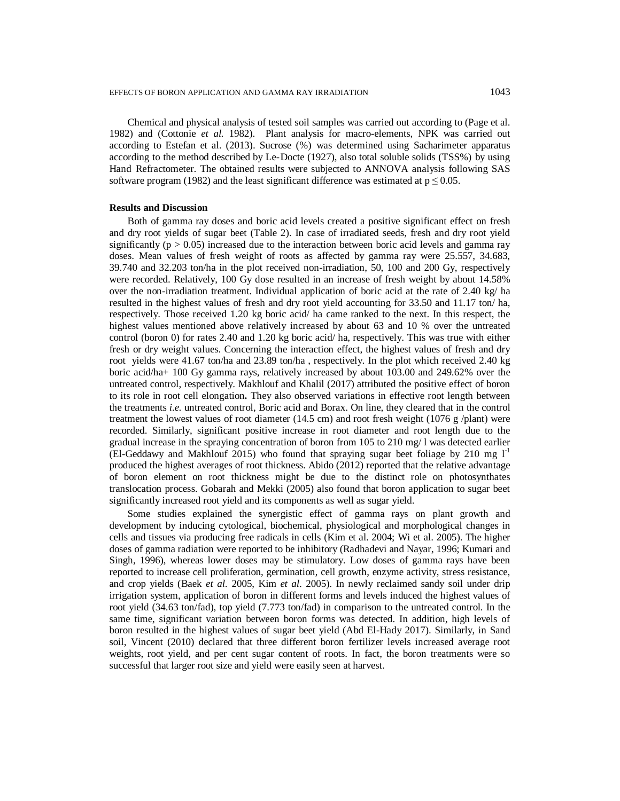Chemical and physical analysis of tested soil samples was carried out according to (Page et al. 1982) and (Cottonie *et al.* 1982). Plant analysis for macro-elements, NPK was carried out according to Estefan et al. (2013). Sucrose (%) was determined using Sacharimeter apparatus according to the method described by Le-Docte (1927), also total soluble solids (TSS%) by using Hand Refractometer. The obtained results were subjected to ANNOVA analysis following SAS software program (1982) and the least significant difference was estimated at  $p \le 0.05$ .

### **Results and Discussion**

Both of gamma ray doses and boric acid levels created a positive significant effect on fresh and dry root yields of sugar beet (Table 2). In case of irradiated seeds, fresh and dry root yield significantly ( $p > 0.05$ ) increased due to the interaction between boric acid levels and gamma ray doses. Mean values of fresh weight of roots as affected by gamma ray were 25.557, 34.683, 39.740 and 32.203 ton/ha in the plot received non-irradiation, 50, 100 and 200 Gy, respectively were recorded. Relatively, 100 Gy dose resulted in an increase of fresh weight by about 14.58% over the non-irradiation treatment. Individual application of boric acid at the rate of 2.40 kg/ ha resulted in the highest values of fresh and dry root yield accounting for 33.50 and 11.17 ton/ ha, respectively. Those received 1.20 kg boric acid/ ha came ranked to the next. In this respect, the highest values mentioned above relatively increased by about 63 and 10 % over the untreated control (boron 0) for rates 2.40 and 1.20 kg boric acid/ ha, respectively. This was true with either fresh or dry weight values. Concerning the interaction effect, the highest values of fresh and dry root yields were 41.67 ton/ha and 23.89 ton/ha , respectively. In the plot which received 2.40 kg boric acid/ha+ 100 Gy gamma rays, relatively increased by about 103.00 and 249.62% over the untreated control, respectively. Makhlouf and Khalil (2017) attributed the positive effect of boron to its role in root cell elongation**.** They also observed variations in effective root length between the treatments *i.e.* untreated control, Boric acid and Borax. On line, they cleared that in the control treatment the lowest values of root diameter (14.5 cm) and root fresh weight (1076  $g$  /plant) were recorded. Similarly, significant positive increase in root diameter and root length due to the gradual increase in the spraying concentration of boron from 105 to 210 mg/ l was detected earlier (El-Geddawy and Makhlouf 2015) who found that spraying sugar beet foliage by 210 mg  $1<sup>-1</sup>$ produced the highest averages of root thickness. Abido (2012) reported that the relative advantage of boron element on root thickness might be due to the distinct role on photosynthates translocation process. Gobarah and Mekki (2005) also found that boron application to sugar beet significantly increased root yield and its components as well as sugar yield.

Some studies explained the synergistic effect of gamma rays on plant growth and development by inducing cytological, biochemical, physiological and morphological changes in cells and tissues via producing free radicals in cells (Kim et al. 2004; Wi et al. 2005). The higher doses of gamma radiation were reported to be inhibitory (Radhadevi and Nayar, 1996; Kumari and Singh, 1996), whereas lower doses may be stimulatory. Low doses of gamma rays have been reported to increase cell proliferation, germination, cell growth, enzyme activity, stress resistance, and crop yields (Baek *et al.* 2005, Kim *et al*. 2005). In newly reclaimed sandy soil under drip irrigation system, application of boron in different forms and levels induced the highest values of root yield (34.63 ton/fad), top yield (7.773 ton/fad) in comparison to the untreated control. In the same time, significant variation between boron forms was detected. In addition, high levels of boron resulted in the highest values of sugar beet yield (Abd El-Hady 2017). Similarly, in Sand soil, Vincent (2010) declared that three different boron fertilizer levels increased average root weights, root yield, and per cent sugar content of roots. In fact, the boron treatments were so successful that larger root size and yield were easily seen at harvest.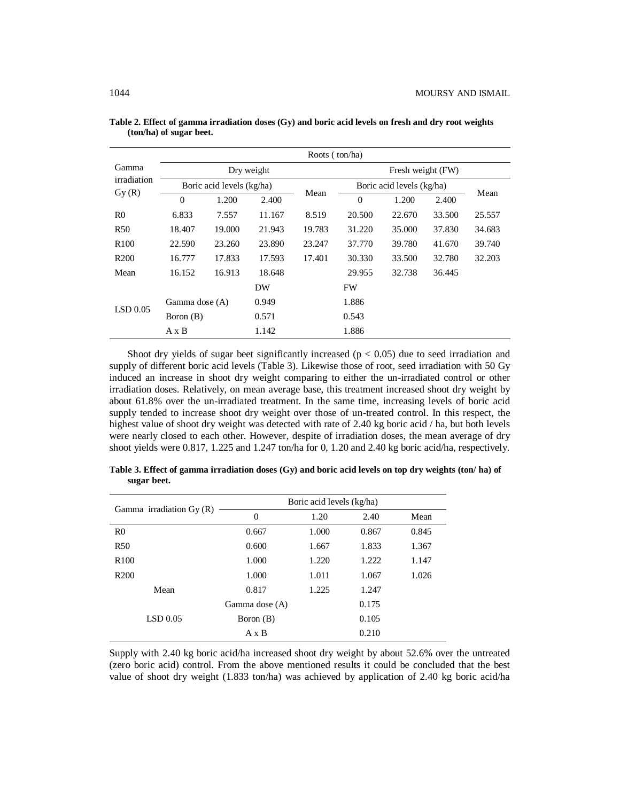|                      | Roots (ton/ha) |                           |            |        |                   |                           |        |        |  |  |  |  |  |
|----------------------|----------------|---------------------------|------------|--------|-------------------|---------------------------|--------|--------|--|--|--|--|--|
| Gamma<br>irradiation |                |                           | Dry weight |        | Fresh weight (FW) |                           |        |        |  |  |  |  |  |
|                      |                | Boric acid levels (kg/ha) |            |        |                   | Boric acid levels (kg/ha) |        |        |  |  |  |  |  |
| Gy(R)                | $\Omega$       | 1.200                     | 2.400      | Mean   | $\theta$          | 1.200                     | 2.400  | Mean   |  |  |  |  |  |
| R <sub>0</sub>       | 6.833          | 7.557                     | 11.167     | 8.519  | 20.500            | 22.670                    | 33.500 | 25.557 |  |  |  |  |  |
| R <sub>50</sub>      | 18.407         | 19.000                    | 21.943     | 19.783 | 31.220            | 35.000                    | 37.830 | 34.683 |  |  |  |  |  |
| R <sub>100</sub>     | 22.590         | 23.260                    | 23.890     | 23.247 | 37.770            | 39.780                    | 41.670 | 39.740 |  |  |  |  |  |
| R <sub>200</sub>     | 16.777         | 17.833                    | 17.593     | 17.401 | 30.330            | 33.500                    | 32.780 | 32.203 |  |  |  |  |  |
| Mean                 | 16.152         | 16.913                    | 18.648     |        | 29.955            | 32.738                    | 36.445 |        |  |  |  |  |  |
|                      |                |                           | DW         |        | <b>FW</b>         |                           |        |        |  |  |  |  |  |
| LSD $0.05$           | Gamma dose (A) |                           | 0.949      |        | 1.886             |                           |        |        |  |  |  |  |  |
|                      | Boron (B)      |                           | 0.571      |        | 0.543             |                           |        |        |  |  |  |  |  |
|                      | $A \times B$   |                           | 1.142      |        | 1.886             |                           |        |        |  |  |  |  |  |

**Table 2. Effect of gamma irradiation doses (Gy) and boric acid levels on fresh and dry root weights (ton/ha) of sugar beet.**

Shoot dry yields of sugar beet significantly increased ( $p < 0.05$ ) due to seed irradiation and supply of different boric acid levels (Table 3). Likewise those of root, seed irradiation with 50 Gy induced an increase in shoot dry weight comparing to either the un-irradiated control or other irradiation doses. Relatively, on mean average base, this treatment increased shoot dry weight by about 61.8% over the un-irradiated treatment. In the same time, increasing levels of boric acid supply tended to increase shoot dry weight over those of un-treated control. In this respect, the highest value of shoot dry weight was detected with rate of 2.40 kg boric acid / ha, but both levels were nearly closed to each other. However, despite of irradiation doses, the mean average of dry shoot yields were 0.817, 1.225 and 1.247 ton/ha for 0, 1.20 and 2.40 kg boric acid/ha, respectively.

|                           | Boric acid levels (kg/ha) |                |       |       |  |  |  |  |
|---------------------------|---------------------------|----------------|-------|-------|--|--|--|--|
| Gamma irradiation $Gy(R)$ | $\overline{0}$            | 1.20           | 2.40  | Mean  |  |  |  |  |
| R <sub>0</sub>            | 0.667                     | 1.000          | 0.867 | 0.845 |  |  |  |  |
| R <sub>50</sub>           | 0.600                     | 1.667          | 1.833 | 1.367 |  |  |  |  |
| R <sub>100</sub>          | 1.000                     | 1.220<br>1.222 |       | 1.147 |  |  |  |  |
| R <sub>200</sub>          | 1.000                     | 1.011          | 1.067 | 1.026 |  |  |  |  |
| Mean                      | 0.817                     | 1.225          | 1.247 |       |  |  |  |  |
|                           | Gamma dose (A)            |                | 0.175 |       |  |  |  |  |
| $LSD$ 0.05                | Boron (B)                 | 0.105          |       |       |  |  |  |  |
|                           | AxB                       | 0.210          |       |       |  |  |  |  |

**Table 3. Effect of gamma irradiation doses (Gy) and boric acid levels on top dry weights (ton/ ha) of sugar beet.**

Supply with 2.40 kg boric acid/ha increased shoot dry weight by about 52.6% over the untreated (zero boric acid) control. From the above mentioned results it could be concluded that the best value of shoot dry weight (1.833 ton/ha) was achieved by application of 2.40 kg boric acid/ha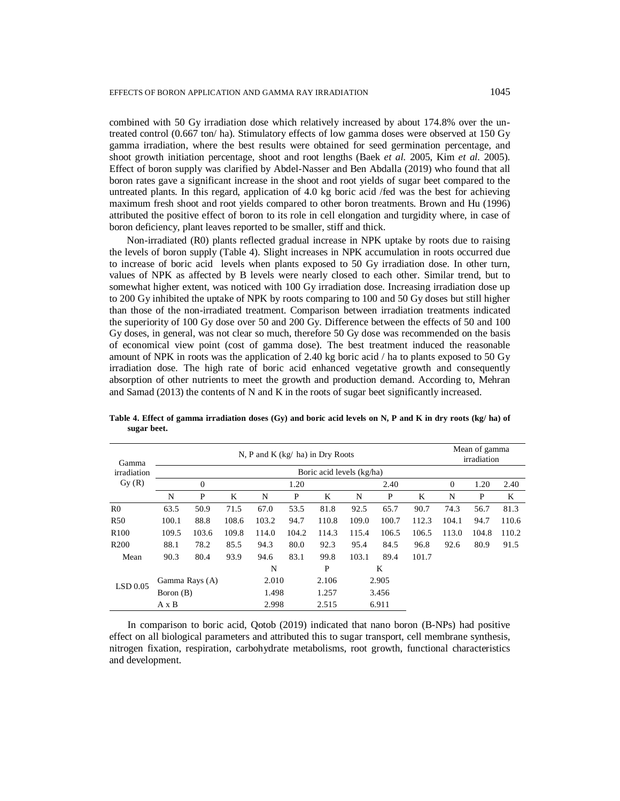combined with 50 Gy irradiation dose which relatively increased by about 174.8% over the untreated control (0.667 ton/ ha). Stimulatory effects of low gamma doses were observed at 150 Gy gamma irradiation, where the best results were obtained for seed germination percentage, and shoot growth initiation percentage, shoot and root lengths (Baek *et al.* 2005, Kim *et al.* 2005). Effect of boron supply was clarified by Abdel-Nasser and Ben Abdalla (2019) who found that all boron rates gave a significant increase in the shoot and root yields of sugar beet compared to the untreated plants. In this regard, application of 4.0 kg boric acid /fed was the best for achieving maximum fresh shoot and root yields compared to other boron treatments. Brown and Hu (1996) attributed the positive effect of boron to its role in cell elongation and turgidity where, in case of boron deficiency, plant leaves reported to be smaller, stiff and thick.

 Non-irradiated (R0) plants reflected gradual increase in NPK uptake by roots due to raising the levels of boron supply (Table 4). Slight increases in NPK accumulation in roots occurred due to increase of boric acid levels when plants exposed to 50 Gy irradiation dose. In other turn, values of NPK as affected by B levels were nearly closed to each other. Similar trend, but to somewhat higher extent, was noticed with 100 Gy irradiation dose. Increasing irradiation dose up to 200 Gy inhibited the uptake of NPK by roots comparing to 100 and 50 Gy doses but still higher than those of the non-irradiated treatment. Comparison between irradiation treatments indicated the superiority of 100 Gy dose over 50 and 200 Gy. Difference between the effects of 50 and 100 Gy doses, in general, was not clear so much, therefore 50 Gy dose was recommended on the basis of economical view point (cost of gamma dose). The best treatment induced the reasonable amount of NPK in roots was the application of 2.40 kg boric acid / ha to plants exposed to 50 Gy irradiation dose. The high rate of boric acid enhanced vegetative growth and consequently absorption of other nutrients to meet the growth and production demand. According to, Mehran and Samad (2013) the contents of N and K in the roots of sugar beet significantly increased.

| Gamma            |              |                | N, P and K $(kg/ha)$ in Dry Roots |       | Mean of gamma<br>irradiation |       |       |       |       |          |       |       |
|------------------|--------------|----------------|-----------------------------------|-------|------------------------------|-------|-------|-------|-------|----------|-------|-------|
| irradiation      |              |                |                                   |       |                              |       |       |       |       |          |       |       |
| Gy(R)            |              | $\overline{0}$ |                                   | 1.20  |                              |       | 2.40  |       |       | $\theta$ | 1.20  | 2.40  |
|                  | N            | P              | K                                 | N     | P                            | K     | N     | P     | K     | N        | P     | K     |
| R <sub>0</sub>   | 63.5         | 50.9           | 71.5                              | 67.0  | 53.5                         | 81.8  | 92.5  | 65.7  | 90.7  | 74.3     | 56.7  | 81.3  |
| <b>R50</b>       | 100.1        | 88.8           | 108.6                             | 103.2 | 94.7                         | 110.8 | 109.0 | 100.7 | 112.3 | 104.1    | 94.7  | 110.6 |
| R <sub>100</sub> | 109.5        | 103.6          | 109.8                             | 114.0 | 104.2                        | 114.3 | 115.4 | 106.5 | 106.5 | 113.0    | 104.8 | 110.2 |
| R <sub>200</sub> | 88.1         | 78.2           | 85.5                              | 94.3  | 80.0                         | 92.3  | 95.4  | 84.5  | 96.8  | 92.6     | 80.9  | 91.5  |
| Mean             | 90.3         | 80.4           | 93.9                              | 94.6  | 83.1                         | 99.8  | 103.1 | 89.4  | 101.7 |          |       |       |
|                  |              |                |                                   | N     |                              | P     | K     |       |       |          |       |       |
| LSD 0.05         |              | Gamma Rays (A) |                                   |       | 2.010                        |       |       | 2.905 |       |          |       |       |
|                  |              | Boron (B)      |                                   |       | 1.498                        |       | 3.456 |       |       |          |       |       |
|                  | $A \times B$ |                |                                   | 2.998 |                              | 2.515 | 6.911 |       |       |          |       |       |

**Table 4. Effect of gamma irradiation doses (Gy) and boric acid levels on N, P and K in dry roots (kg/ ha) of sugar beet.**

In comparison to boric acid, Qotob (2019) indicated that nano boron (B-NPs) had positive effect on all biological parameters and attributed this to sugar transport, cell membrane synthesis, nitrogen fixation, respiration, carbohydrate metabolisms, root growth, functional characteristics and development.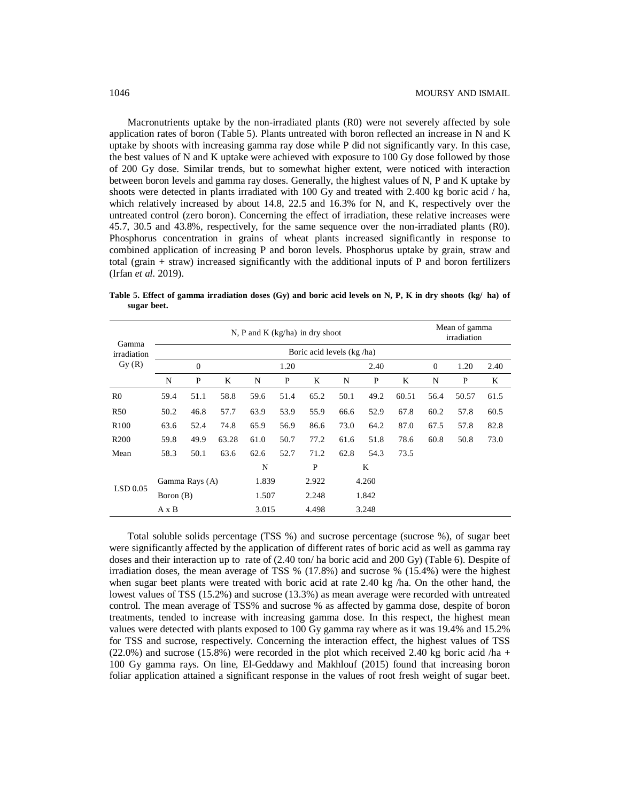Macronutrients uptake by the non-irradiated plants (R0) were not severely affected by sole application rates of boron (Table 5). Plants untreated with boron reflected an increase in N and K uptake by shoots with increasing gamma ray dose while P did not significantly vary. In this case, the best values of N and K uptake were achieved with exposure to 100 Gy dose followed by those of 200 Gy dose. Similar trends, but to somewhat higher extent, were noticed with interaction between boron levels and gamma ray doses. Generally, the highest values of N, P and K uptake by shoots were detected in plants irradiated with 100 Gy and treated with 2.400 kg boric acid / ha, which relatively increased by about 14.8, 22.5 and 16.3% for N, and K, respectively over the untreated control (zero boron). Concerning the effect of irradiation, these relative increases were 45.7, 30.5 and 43.8%, respectively, for the same sequence over the non-irradiated plants (R0). Phosphorus concentration in grains of wheat plants increased significantly in response to combined application of increasing P and boron levels. Phosphorus uptake by grain, straw and total (grain + straw) increased significantly with the additional inputs of P and boron fertilizers (Irfan *et al.* 2019).

**Table 5. Effect of gamma irradiation doses (Gy) and boric acid levels on N, P, K in dry shoots (kg/ ha) of sugar beet.**

| Gamma<br>irradiation |                |           | Mean of gamma<br>irradiation |       |       |       |       |      |       |              |       |      |
|----------------------|----------------|-----------|------------------------------|-------|-------|-------|-------|------|-------|--------------|-------|------|
|                      |                |           |                              |       |       |       |       |      |       |              |       |      |
| Gy(R)                | $\overline{0}$ |           |                              | 1.20  |       |       | 2.40  |      |       | $\mathbf{0}$ | 1.20  | 2.40 |
|                      | N              | P         | K                            | N     | P     | K     | N     | P    | K     | N            | P     | K    |
| R <sub>0</sub>       | 59.4           | 51.1      | 58.8                         | 59.6  | 51.4  | 65.2  | 50.1  | 49.2 | 60.51 | 56.4         | 50.57 | 61.5 |
| <b>R50</b>           | 50.2           | 46.8      | 57.7                         | 63.9  | 53.9  | 55.9  | 66.6  | 52.9 | 67.8  | 60.2         | 57.8  | 60.5 |
| R <sub>100</sub>     | 63.6           | 52.4      | 74.8                         | 65.9  | 56.9  | 86.6  | 73.0  | 64.2 | 87.0  | 67.5         | 57.8  | 82.8 |
| R <sub>200</sub>     | 59.8           | 49.9      | 63.28                        | 61.0  | 50.7  | 77.2  | 61.6  | 51.8 | 78.6  | 60.8         | 50.8  | 73.0 |
| Mean                 | 58.3           | 50.1      | 63.6                         | 62.6  | 52.7  | 71.2  | 62.8  | 54.3 | 73.5  |              |       |      |
|                      |                |           |                              | N     |       | P     | K     |      |       |              |       |      |
| LSD 0.05             | Gamma Rays (A) |           |                              | 1.839 |       | 2.922 | 4.260 |      |       |              |       |      |
|                      |                | Boron (B) |                              |       | 1.507 |       | 1.842 |      |       |              |       |      |
|                      | $A \times B$   |           |                              | 3.015 |       | 4.498 | 3.248 |      |       |              |       |      |

Total soluble solids percentage (TSS %) and sucrose percentage (sucrose %), of sugar beet were significantly affected by the application of different rates of boric acid as well as gamma ray doses and their interaction up to rate of (2.40 ton/ ha boric acid and 200 Gy) (Table 6). Despite of irradiation doses, the mean average of TSS % (17.8%) and sucrose % (15.4%) were the highest when sugar beet plants were treated with boric acid at rate 2.40 kg /ha. On the other hand, the lowest values of TSS (15.2%) and sucrose (13.3%) as mean average were recorded with untreated control. The mean average of TSS% and sucrose % as affected by gamma dose, despite of boron treatments, tended to increase with increasing gamma dose. In this respect, the highest mean values were detected with plants exposed to 100 Gy gamma ray where as it was 19.4% and 15.2% for TSS and sucrose, respectively. Concerning the interaction effect, the highest values of TSS  $(22.0\%)$  and sucrose  $(15.8\%)$  were recorded in the plot which received 2.40 kg boric acid /ha + 100 Gy gamma rays. On line, El-Geddawy and Makhlouf (2015) found that increasing boron foliar application attained a significant response in the values of root fresh weight of sugar beet.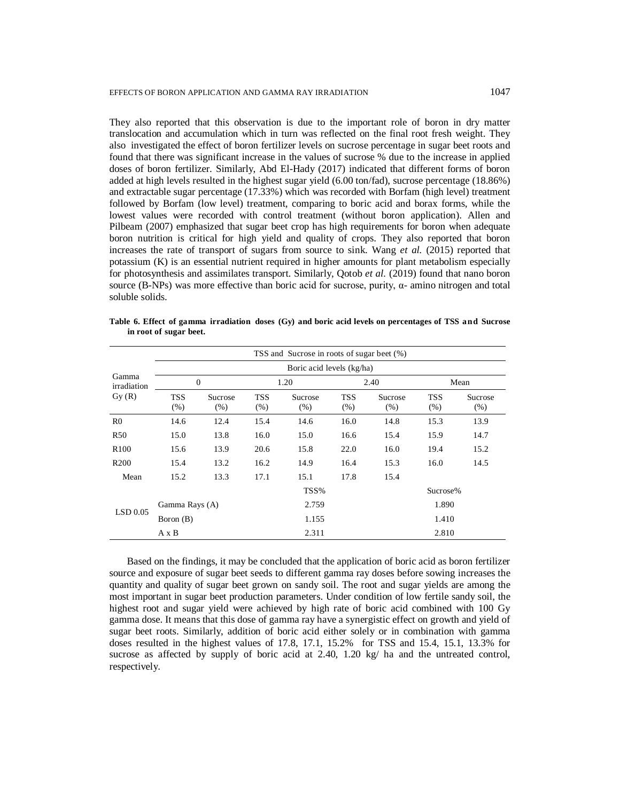They also reported that this observation is due to the important role of boron in dry matter translocation and accumulation which in turn was reflected on the final root fresh weight. They also investigated the effect of boron fertilizer levels on sucrose percentage in sugar beet roots and found that there was significant increase in the values of sucrose % due to the increase in applied doses of boron fertilizer. Similarly, Abd El-Hady (2017) indicated that different forms of boron added at high levels resulted in the highest sugar yield (6.00 ton/fad), sucrose percentage (18.86%) and extractable sugar percentage (17.33%) which was recorded with Borfam (high level) treatment followed by Borfam (low level) treatment, comparing to boric acid and borax forms, while the lowest values were recorded with control treatment (without boron application). Allen and Pilbeam (2007) emphasized that sugar beet crop has high requirements for boron when adequate boron nutrition is critical for high yield and quality of crops. They also reported that boron increases the rate of transport of sugars from source to sink. Wang *et al.* (2015) reported that potassium (K) is an essential nutrient required in higher amounts for plant metabolism especially for photosynthesis and assimilates transport. Similarly, Qotob *et al.* (2019) found that nano boron source (B-NPs) was more effective than boric acid for sucrose, purity,  $α$ - amino nitrogen and total soluble solids.

|                               | TSS and Sucrose in roots of sugar beet (%) |                 |                    |                 |                    |                 |                    |                 |  |  |  |  |  |
|-------------------------------|--------------------------------------------|-----------------|--------------------|-----------------|--------------------|-----------------|--------------------|-----------------|--|--|--|--|--|
| Gamma<br>irradiation<br>Gy(R) | Boric acid levels (kg/ha)                  |                 |                    |                 |                    |                 |                    |                 |  |  |  |  |  |
|                               |                                            | $\mathbf{0}$    |                    | 1.20            |                    | 2.40            | Mean               |                 |  |  |  |  |  |
|                               | TSS<br>(% )                                | Sucrose<br>(% ) | <b>TSS</b><br>(% ) | Sucrose<br>(% ) | <b>TSS</b><br>(% ) | Sucrose<br>(% ) | <b>TSS</b><br>(% ) | Sucrose<br>(% ) |  |  |  |  |  |
| R <sub>0</sub>                | 14.6                                       | 12.4            | 15.4               | 14.6            | 16.0               | 14.8            | 15.3               | 13.9            |  |  |  |  |  |
| R <sub>50</sub>               | 15.0                                       | 13.8            | 16.0               | 15.0            | 16.6               | 15.4            | 15.9               | 14.7            |  |  |  |  |  |
| R <sub>100</sub>              | 15.6                                       | 13.9            | 20.6               | 15.8            | 22.0               | 16.0            | 19.4               | 15.2            |  |  |  |  |  |
| R <sub>200</sub>              | 15.4                                       | 13.2            | 16.2               | 14.9            | 16.4               | 15.3            | 16.0               | 14.5            |  |  |  |  |  |
| Mean                          | 15.2                                       | 13.3            | 17.1               | 15.1            | 17.8               | 15.4            |                    |                 |  |  |  |  |  |
|                               |                                            |                 |                    | TSS%            |                    | Sucrose%        |                    |                 |  |  |  |  |  |
| $LSD$ 0.05                    | Gamma Rays (A)                             |                 |                    | 2.759           |                    | 1.890           |                    |                 |  |  |  |  |  |
|                               | Boron (B)                                  |                 |                    | 1.155           |                    |                 | 1.410              |                 |  |  |  |  |  |
|                               | $A \times B$                               |                 |                    | 2.311           |                    |                 | 2.810              |                 |  |  |  |  |  |

**Table 6. Effect of gamma irradiation doses (Gy) and boric acid levels on percentages of TSS a nd Sucrose in root of sugar beet.**

 Based on the findings, it may be concluded that the application of boric acid as boron fertilizer source and exposure of sugar beet seeds to different gamma ray doses before sowing increases the quantity and quality of sugar beet grown on sandy soil. The root and sugar yields are among the most important in sugar beet production parameters. Under condition of low fertile sandy soil, the highest root and sugar yield were achieved by high rate of boric acid combined with 100 Gy gamma dose. It means that this dose of gamma ray have a synergistic effect on growth and yield of sugar beet roots. Similarly, addition of boric acid either solely or in combination with gamma doses resulted in the highest values of 17.8, 17.1, 15.2% for TSS and 15.4, 15.1, 13.3% for sucrose as affected by supply of boric acid at 2.40, 1.20 kg/ ha and the untreated control, respectively.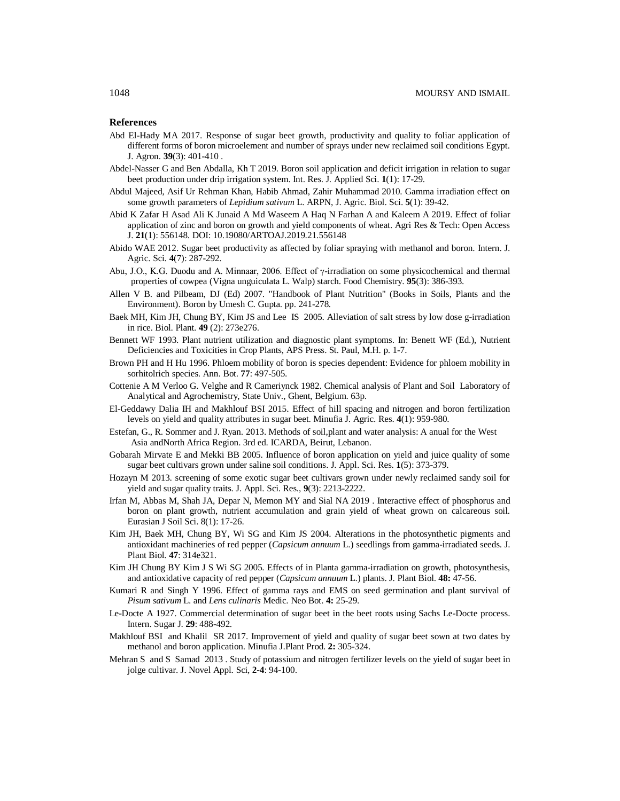# **References**

- Abd El-Hady MA 2017. Response of sugar beet growth, productivity and quality to foliar application of different forms of boron microelement and number of sprays under new reclaimed soil conditions Egypt. J. Agron. **39**(3): 401-410 .
- Abdel-Nasser G and Ben Abdalla, Kh T 2019. Boron soil application and deficit irrigation in relation to sugar beet production under drip irrigation system. Int. Res. J. Applied Sci. **1**(1): 17-29.
- Abdul Majeed, Asif Ur Rehman Khan, Habib Ahmad, Zahir Muhammad 2010. Gamma irradiation effect on some growth parameters of *Lepidium sativum* L. ARPN, J. Agric. Biol. Sci. **5**(1): 39-42.
- Abid K Zafar H Asad Ali K Junaid A Md Waseem A Haq N Farhan A and Kaleem A 2019. Effect of foliar application of zinc and boron on growth and yield components of wheat. Agri Res & Tech: Open Access J. **21**(1): 556148. DOI: 10.19080/ARTOAJ.2019.21.556148
- Abido WAE 2012. Sugar beet productivity as affected by foliar spraying with methanol and boron. Intern. J. Agric. Sci. **4**(7): 287-292.
- Abu, J.O., K.G. Duodu and A. Minnaar, 2006. Effect of γ-irradiation on some physicochemical and thermal properties of cowpea (Vigna unguiculata L. Walp) starch. Food Chemistry. **95**(3): 386-393.
- Allen V B. and Pilbeam, DJ (Ed) 2007. "Handbook of Plant Nutrition" (Books in Soils, Plants and the Environment). Boron by Umesh C. Gupta. pp. 241-278.
- Baek MH, Kim JH, Chung BY, Kim JS and Lee IS 2005. Alleviation of salt stress by low dose g-irradiation in rice. Biol. Plant. **49** (2): 273e276.
- Bennett WF 1993. Plant nutrient utilization and diagnostic plant symptoms. In: Benett WF (Ed.), Nutrient Deficiencies and Toxicities in Crop Plants, APS Press. St. Paul, M.H. p. 1-7.
- Brown PH and H Hu 1996. Phloem mobility of boron is species dependent: Evidence for phloem mobility in sorhitolrich species. Ann. Bot. **77**: 497-505.
- Cottenie A M Verloo G. Velghe and R Cameriynck 1982. Chemical analysis of Plant and Soil Laboratory of Analytical and Agrochemistry, State Univ., Ghent, Belgium. 63p.
- El-Geddawy Dalia IH and Makhlouf BSI 2015. Effect of hill spacing and nitrogen and boron fertilization levels on yield and quality attributes in sugar beet. Minufia J. Agric. Res. **4**(1): 959-980.
- Estefan, G., R. Sommer and J. Ryan. 2013. Methods of soil,plant and water analysis: A anual for the West Asia andNorth Africa Region. 3rd ed. ICARDA, Beirut, Lebanon.
- Gobarah Mirvate E and Mekki BB 2005. Influence of boron application on yield and juice quality of some sugar beet cultivars grown under saline soil conditions. J. Appl. Sci. Res. **1**(5): 373-379.
- Hozayn M 2013. screening of some exotic sugar beet cultivars grown under newly reclaimed sandy soil for yield and sugar quality traits. J. Appl. Sci. Res., **9**(3): 2213-2222.
- Irfan M, Abbas M, Shah JA, Depar N, Memon MY and Sial NA 2019 . Interactive effect of phosphorus and boron on plant growth, nutrient accumulation and grain yield of wheat grown on calcareous soil. Eurasian J Soil Sci. 8(1): 17-26.
- Kim JH, Baek MH, Chung BY, Wi SG and Kim JS 2004. Alterations in the photosynthetic pigments and antioxidant machineries of red pepper (*Capsicum annuum* L.) seedlings from gamma-irradiated seeds. J. Plant Biol. **47**: 314e321.
- Kim JH Chung BY Kim J S Wi SG 2005. Effects of in Planta gamma-irradiation on growth, photosynthesis, and antioxidative capacity of red pepper (*Capsicum annuum* L.) plants. J. Plant Biol. **48:** 47-56.
- Kumari R and Singh Y 1996. Effect of gamma rays and EMS on seed germination and plant survival of *Pisum sativum* L. and *Lens culinaris* Medic. Neo Bot. **4:** 25-29.
- Le-Docte A 1927. Commercial determination of sugar beet in the beet roots using Sachs Le-Docte process. Intern. Sugar J. **29**: 488-492.
- Makhlouf BSI and Khalil SR 2017. Improvement of yield and quality of sugar beet sown at two dates by methanol and boron application. Minufia J.Plant Prod. **2:** 305-324.
- Mehran S and S Samad 2013 . Study of potassium and nitrogen fertilizer levels on the yield of sugar beet in jolge cultivar. J. Novel Appl. Sci, **2-4**: 94-100.